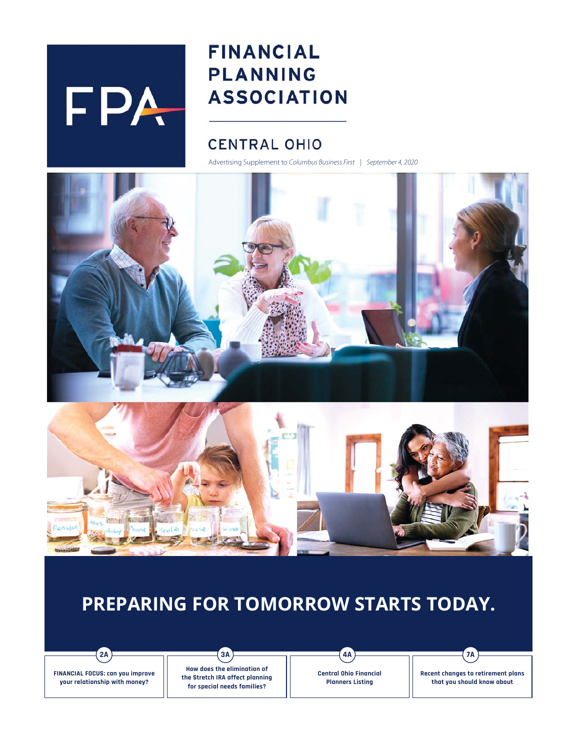# FPA

## **FINANCIAL PLANNING ASSOCIATION**

## **CENTRAL OHIO**

Advertising Supplement to Columbus Business First | September 4, 2020





## **PREPARING FOR TOMORROW STARTS TODAY.**

**2A 3A 4A 7A**

**FINANCIAL FOCUS: can you improve your relationship with money?**

**How does the elimination of the Stretch IRA affect planning for special needs families?** 

**Central Ohio Financial Planners Listing**

**Recent changes to retirement plans that you should know about**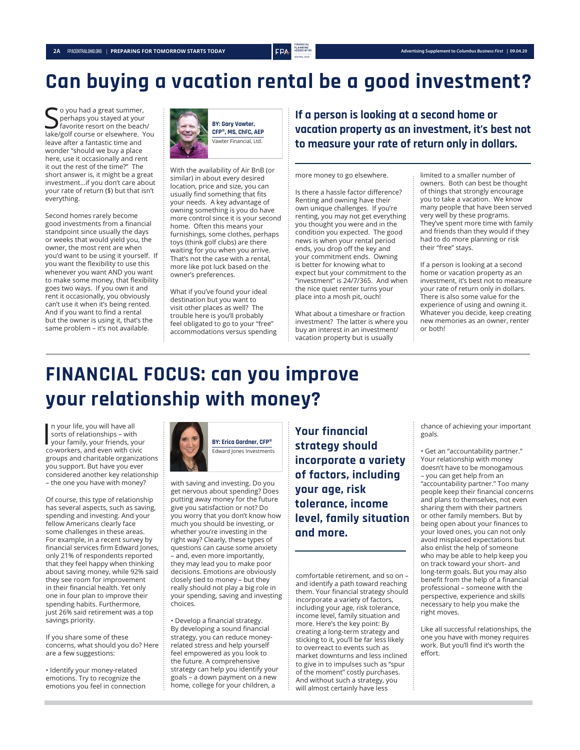## **Can buying a vacation rental be a good investment?**

So you had a great summer,<br>Sperhaps you stayed at your<br>lake/golf course or elsewhere. You o you had a great summer, perhaps you stayed at your favorite resort on the beach/ leave after a fantastic time and wonder "should we buy a place here, use it occasionally and rent it out the rest of the time?" The short answer is, it might be a great investment…if you don't care about your rate of return (\$) but that isn't everything.

Second homes rarely become good investments from a financial standpoint since usually the days or weeks that would yield you, the owner, the most rent are when you'd want to be using it yourself. If you want the flexibility to use this whenever you want AND you want to make some money, that flexibility goes two ways. If you own it and rent it occasionally, you obviously can't use it when it's being rented. And if you want to find a rental but the owner is using it, that's the same problem – it's not available.



With the availability of Air BnB (or similar) in about every desired location, price and size, you can usually find something that fits your needs. A key advantage of owning something is you do have more control since it is your second home. Often this means your furnishings, some clothes, perhaps toys (think golf clubs) are there waiting for you when you arrive. That's not the case with a rental, more like pot luck based on the owner's preferences.

What if you've found your ideal destination but you want to visit other places as well? The trouble here is you'll probably feel obligated to go to your "free" accommodations versus spending **If a person is looking at a second home or vacation property as an investment, it's best not to measure your rate of return only in dollars.** 

more money to go elsewhere.

Is there a hassle factor difference? Renting and owning have their own unique challenges. If you're renting, you may not get everything you thought you were and in the condition you expected. The good news is when your rental period ends, you drop off the key and your commitment ends. Owning is better for knowing what to expect but your commitment to the "investment" is 24/7/365. And when the nice quiet renter turns your place into a mosh pit, ouch!

What about a timeshare or fraction investment? The latter is where you buy an interest in an investment/ vacation property but is usually

limited to a smaller number of owners. Both can best be thought of things that strongly encourage you to take a vacation. We know many people that have been served very well by these programs. They've spent more time with family and friends than they would if they had to do more planning or risk their "free" stays.

If a person is looking at a second home or vacation property as an investment, it's best not to measure your rate of return only in dollars. There is also some value for the experience of using and owning it. Whatever you decide, keep creating new memories as an owner, renter or both!

## **FINANCIAL FOCUS: can you improve your relationship with money?**

In your life, you will have all<br>sorts of relationships – with<br>your family, your friends, your<br>co-workers, and even with civic n your life, you will have all sorts of relationships – with co-workers, and even with civic groups and charitable organizations you support. But have you ever considered another key relationship – the one you have with money?

Of course, this type of relationship has several aspects, such as saving, spending and investing. And your fellow Americans clearly face some challenges in these areas. For example, in a recent survey by financial services firm Edward Jones, only 21% of respondents reported that they feel happy when thinking about saving money, while 92% said they see room for improvement in their financial health. Yet only one in four plan to improve their spending habits. Furthermore, just 26% said retirement was a top savings priority.

If you share some of these concerns, what should you do? Here are a few suggestions:

• Identify your money-related emotions. Try to recognize the emotions you feel in connection



with saving and investing. Do you get nervous about spending? Does putting away money for the future give you satisfaction or not? Do you worry that you don't know how much you should be investing, or whether you're investing in the right way? Clearly, these types of questions can cause some anxiety – and, even more importantly, they may lead you to make poor decisions. Emotions are obviously closely tied to money – but they really should not play a big role in your spending, saving and investing choices.

• Develop a financial strategy. By developing a sound financial strategy, you can reduce moneyrelated stress and help yourself feel empowered as you look to the future. A comprehensive strategy can help you identify your goals – a down payment on a new home, college for your children, a

**Your financial strategy should incorporate a variety of factors, including your age, risk tolerance, income level, family situation and more.** 

comfortable retirement, and so on – and identify a path toward reaching them. Your financial strategy should incorporate a variety of factors, including your age, risk tolerance, income level, family situation and more. Here's the key point: By creating a long-term strategy and sticking to it, you'll be far less likely to overreact to events such as market downturns and less inclined to give in to impulses such as "spur of the moment" costly purchases. And without such a strategy, you will almost certainly have less

chance of achieving your important goals.

• Get an "accountability partner." Your relationship with money doesn't have to be monogamous – you can get help from an "accountability partner." Too many people keep their financial concerns and plans to themselves, not even sharing them with their partners or other family members. But by being open about your finances to your loved ones, you can not only avoid misplaced expectations but also enlist the help of someone who may be able to help keep you on track toward your short- and long-term goals. But you may also benefit from the help of a financial professional – someone with the perspective, experience and skills necessary to help you make the right moves.

Like all successful relationships, the one you have with money requires work. But you'll find it's worth the effort.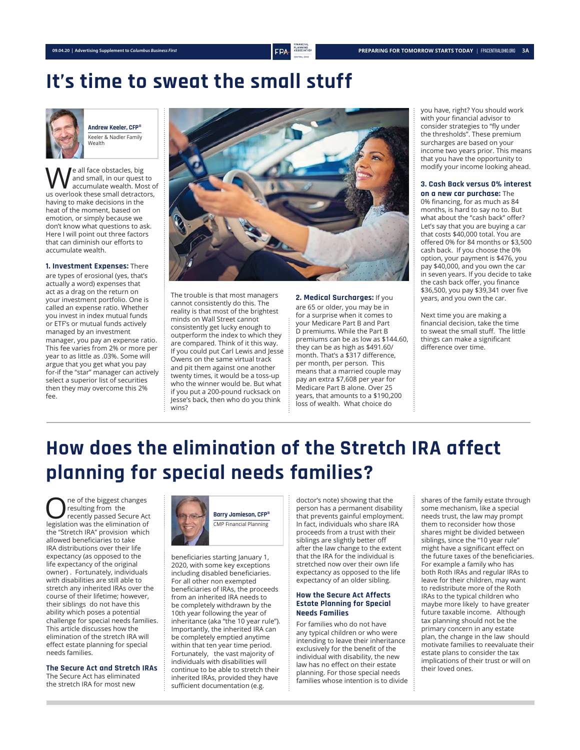## **It's time to sweat the small stuff**



**Andrew Keeler, CFP®** Keeler & Nadler Family Wealth

**We** all face obstacles, big<br>
and small, in our quest to<br>
accumulate wealth. Most of<br>
US overlook these small detractors and small, in our quest to us overlook these small detractors, having to make decisions in the heat of the moment, based on emotion, or simply because we don't know what questions to ask. Here I will point out three factors that can diminish our efforts to accumulate wealth.

**1. Investment Expenses:** There are types of erosional (yes, that's actually a word) expenses that act as a drag on the return on your investment portfolio. One is called an expense ratio. Whether you invest in index mutual funds or ETF's or mutual funds actively managed by an investment manager, you pay an expense ratio. This fee varies from 2% or more per year to as little as .03%. Some will argue that you get what you pay for-if the "star" manager can actively select a superior list of securities then they may overcome this 2% fee.



The trouble is that most managers cannot consistently do this. The reality is that most of the brightest minds on Wall Street cannot consistently get lucky enough to outperform the index to which they are compared. Think of it this way. If you could put Carl Lewis and Jesse Owens on the same virtual track and pit them against one another twenty times, it would be a toss-up who the winner would be. But what if you put a 200-pound rucksack on Jesse's back, then who do you think wins?

**2. Medical Surcharges:** If you are 65 or older, you may be in for a surprise when it comes to your Medicare Part B and Part D premiums. While the Part B premiums can be as low as \$144.60, they can be as high as \$491.60/ month. That's a \$317 difference, per month, per person. This means that a married couple may pay an extra \$7,608 per year for Medicare Part B alone. Over 25 years, that amounts to a \$190,200 loss of wealth. What choice do

you have, right? You should work with your financial advisor to consider strategies to "fly under the thresholds". These premium surcharges are based on your income two years prior. This means that you have the opportunity to modify your income looking ahead.

#### **3. Cash Back versus 0% interest**

**on a new car purchase:** The 0% financing, for as much as 84 months, is hard to say no to. But what about the "cash back" offer? Let's say that you are buying a car that costs \$40,000 total. You are offered 0% for 84 months or \$3,500 cash back. If you choose the 0% option, your payment is \$476, you pay \$40,000, and you own the car in seven years. If you decide to take the cash back offer, you finance \$36,500, you pay \$39,341 over five years, and you own the car.

Next time you are making a financial decision, take the time to sweat the small stuff. The little things can make a significant difference over time.

# **How does the elimination of the Stretch IRA affect planning for special needs families?**

**OREC A** recently passed Secure Act legislation was the elimination of resulting from the legislation was the elimination of the "Stretch IRA" provision which allowed beneficiaries to take IRA distributions over their life expectancy (as opposed to the life expectancy of the original owner) . Fortunately, individuals with disabilities are still able to stretch any inherited IRAs over the course of their lifetime; however, their siblings do not have this ability which poses a potential challenge for special needs families. This article discusses how the elimination of the stretch IRA will effect estate planning for special needs families.

**The Secure Act and Stretch IRAs**

The Secure Act has eliminated the stretch IRA for most new



beneficiaries starting January 1, 2020, with some key exceptions including disabled beneficiaries. For all other non exempted beneficiaries of IRAs, the proceeds from an inherited IRA needs to be completely withdrawn by the 10th year following the year of inheritance (aka "the 10 year rule"). Importantly, the inherited IRA can be completely emptied anytime within that ten year time period. Fortunately, the vast majority of individuals with disabilities will continue to be able to stretch their inherited IRAs, provided they have sufficient documentation (e.g.

doctor's note) showing that the person has a permanent disability that prevents gainful employment. In fact, individuals who share IRA proceeds from a trust with their siblings are slightly better off after the law change to the extent that the IRA for the individual is stretched now over their own life expectancy as opposed to the life expectancy of an older sibling.

#### **How the Secure Act Affects Estate Planning for Special Needs Families**

For families who do not have any typical children or who were intending to leave their inheritance exclusively for the benefit of the individual with disability, the new law has no effect on their estate planning. For those special needs families whose intention is to divide shares of the family estate through some mechanism, like a special needs trust, the law may prompt them to reconsider how those shares might be divided between siblings, since the "10 year rule" might have a significant effect on the future taxes of the beneficiaries. For example a family who has both Roth IRAs and regular IRAs to leave for their children, may want to redistribute more of the Roth IRAs to the typical children who maybe more likely to have greater future taxable income. Although tax planning should not be the primary concern in any estate plan, the change in the law should motivate families to reevaluate their estate plans to consider the tax implications of their trust or will on their loved ones.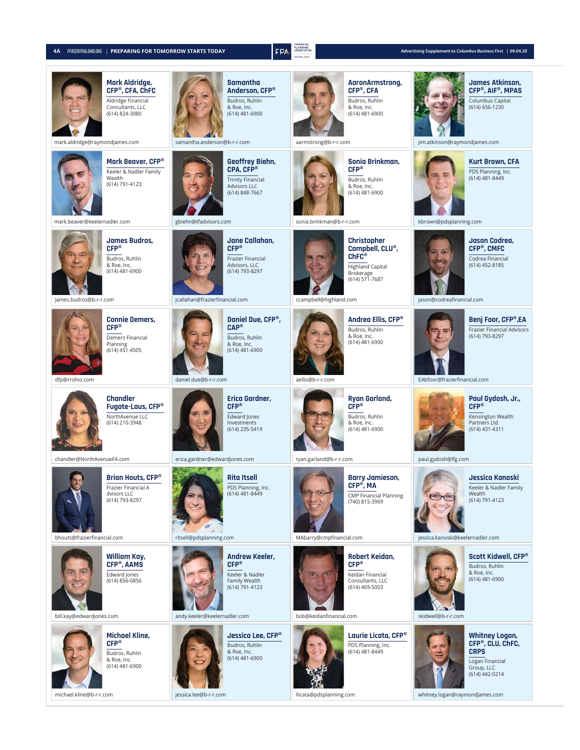| 4A |  | FPACENTRALOHIO.ORG   PREPARING FOR TOMORROW STARTS TODAY |
|----|--|----------------------------------------------------------|
|----|--|----------------------------------------------------------|



**4**<br>**4 FPA** *ASSEMTION RASPERING FOR TOMORROW STARTS TODAY <b>Advertising Supplement to <i>Columbus Business First | 09.04.20* 

| <b>Mark Aldridge,</b><br>CFP®, CFA, ChFC<br>Aldridge Financial<br>Consultants, LLC<br>(614) 824-3080<br>mark.aldridge@raymondjames.com | <b>Samantha</b><br>Anderson, CFP®<br>Budros, Ruhlin<br>& Roe, Inc.<br>(614) 481-6900<br>samantha.anderson@b-r-r.com        | AaronArmstrong,<br>CFP®, CFA<br>Budros, Ruhlin<br>& Roe, Inc.<br>(614) 481-6900<br>aarmstrong@b-r-r.com                                                  | <b>James Atkinson,</b><br>CFP®, AIF®, MPAS<br>Columbus Capital<br>(614) 656-1230<br>jim.atkinson@raymondjames.com                      |
|----------------------------------------------------------------------------------------------------------------------------------------|----------------------------------------------------------------------------------------------------------------------------|----------------------------------------------------------------------------------------------------------------------------------------------------------|----------------------------------------------------------------------------------------------------------------------------------------|
| Mark Beaver, CFP®<br>Keeler & Nadler Family<br>Wealth<br>(614) 791-4123<br>mark.beaver@keelernadler.com                                | <b>Geoffrey Biehn,</b><br>CPA, CFP®<br><b>Trinity Financial</b><br>Advisors LLC<br>(614) 848-7667<br>gbiehn@tfadvisors.com | Sonia Brinkman.<br>$CFP^*$<br>Budros, Ruhlin<br>& Roe, Inc.<br>(614) 481-6900<br>sonia.brinkman@b-r-r.com                                                | <b>Kurt Brown, CFA</b><br>PDS Planning, Inc.<br>(614) 481-8449<br>kbrown@pdsplanning.com                                               |
| <b>James Budros,</b><br>$CFP^*$<br>Budros, Ruhlin<br>& Roe, Inc.<br>(614) 481-6900<br>james.budros@b-r-r.com                           | Jane Callahan,<br>$CFP^*$<br>Frazier Financial<br>Advisors, LLC<br>(614) 793-8297<br>jcallahan@frazierfinancial.com        | <b>Christopher</b><br>Campbell, CLU®,<br>ChFC <sup>®</sup><br><b>Highland Capital</b><br>Brokerage<br>(614) 571-7687<br>ccampbell@highland.com           | <b>Jason Codrea,</b><br>CFP®, CMFC<br>Codrea Financial<br>(614) 452-8185<br>jason@codreafinancial.com                                  |
| <b>Connie Demers,</b><br>$CFP^*$<br>Demers Financial<br>Planning<br>(614) 451-4505<br>dfp@rrohio.com                                   | Daniel Due, CFP®,<br><b>CAP®</b><br>Budros, Ruhlin<br>& Roe, Inc.<br>(614) 481-6900<br>daniel.due@b-r-r.com                | Andrea Ellis, CFP®<br>Budros, Ruhlin<br>& Roe, Inc.<br>(614) 481-6900<br>aellis@b-r-r.com                                                                | Benj Foor, CFP®,EA<br><b>Frazier Financial Advisors</b><br>(614) 793-8297<br>EAbfoor@frazierfinancial.com                              |
| <b>Chandler</b><br>Fugate-Laus, CFP®<br>NorthAvenue LLC<br>(614) 210-3948                                                              | Erica Gardner,<br>$CFP^*$<br>Edward Jones<br>Investments<br>(614) 235-5419                                                 | Ryan Garland,<br>$C\bar{F}P^*$<br>Budros, Ruhlin<br>& Roe, Inc.<br>(614) 481-6900                                                                        | Paul Gydosh, Jr.,<br>$CFP^*$<br>Kensington Wealth<br>Partners Ltd.<br>(614) 431-4311                                                   |
| chandler@NorthAvenueFA.com<br>Brian Houts, CFP®<br>Frazier Financial A<br>dvisors LLC<br>(614) 793-8297<br>bhouts@frazierfinancial.com | erica.gardner@edwardjones.com<br><b>Rita Itsell</b><br>PDS Planning, Inc.<br>(614) 481-8449<br>ritsell@pdsplanning.com     | ryan.garland@b-r-r.com<br><b>Barry Jamieson,</b><br>CFP <sup>®</sup> , MA<br><b>CMP Financial Planning</b><br>(740) 815-3969<br>MAbarry@cmpfinancial.com | paul.gydosh@lfg.com<br>Jessica Kanoski<br>Keeler & Nadler Family<br>wealth<br>(614) 791-4123<br>jessica.kanoski@keelernadler.com       |
| William Kay,<br>CFP <sup>®</sup> , AAMS<br>Edward Jones<br>(614) 856-0856<br>bill.kay@edwardjones.com                                  | <b>Andrew Keeler,</b><br>$CFP^*$<br>Keeler & Nadler<br>Family Wealth<br>(614) 791-4123<br>andy.keeler@keelernadler.com     | Robert Keidan,<br>$CFP^*$<br>Keidan Financial<br>Consultants, LLC<br>(614) 469-5003<br>bob@keidanfinancial.com                                           | Scott Kidwell, CFP®<br>Budros, Ruhlin<br>& Roe, Inc.<br>(614) 481-6900<br>skidwell@b-r-r.com                                           |
| <b>Michael Kline,</b><br>$CFP^*$<br>Budros, Ruhlin<br>& Roe, Inc.<br>(614) 481-6900<br>michael.kline@b-r-r.com                         | Jessica Lee, CFP®<br>Budros, Ruhlin<br>& Roe, Inc.<br>(614) 481-6900<br>jessica.lee@b-r-r.com                              | Laurie Licata, CFP®<br>PDS Planning, Inc.<br>(614) 481-8449<br>llicata@pdsplanning.com                                                                   | Whitney Logan,<br>CFP®, CLU, ChFC,<br><b>CRPS</b><br>Logan Financial<br>Group, LLC<br>(614) 442-0214<br>whitney.logan@raymondjames.com |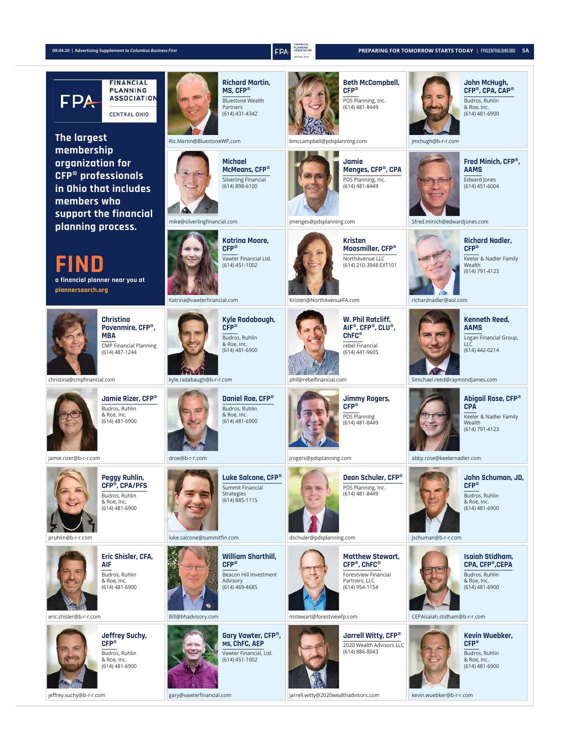

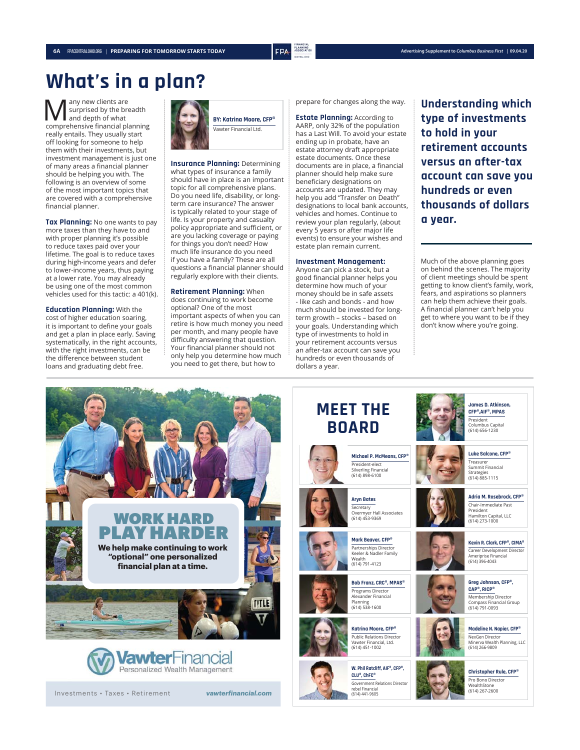## **What's in a plan?**

Many new clients are<br>surprised by the bre<br>comprehensive financial plan surprised by the breadth and depth of what comprehensive financial planning really entails. They usually start off looking for someone to help them with their investments, but investment management is just one of many areas a financial planner should be helping you with. The following is an overview of some of the most important topics that are covered with a comprehensive financial planner.

**Tax Planning:** No one wants to pay more taxes than they have to and with proper planning it's possible to reduce taxes paid over your lifetime. The goal is to reduce taxes during high-income years and defer to lower-income years, thus paying at a lower rate. You may already be using one of the most common vehicles used for this tactic: a 401(k).

**Education Planning:** With the cost of higher education soaring, it is important to define your goals and get a plan in place early. Saving systematically, in the right accounts, with the right investments, can be the difference between student loans and graduating debt free.



**Insurance Planning:** Determining what types of insurance a family should have in place is an important topic for all comprehensive plans. Do you need life, disability, or longterm care insurance? The answer is typically related to your stage of life. Is your property and casualty policy appropriate and sufficient, or are you lacking coverage or paying for things you don't need? How much life insurance do you need if you have a family? These are all questions a financial planner should regularly explore with their clients.

**Retirement Planning:** When does continuing to work become optional? One of the most important aspects of when you can retire is how much money you need per month, and many people have difficulty answering that question. Your financial planner should not only help you determine how much you need to get there, but how to

prepare for changes along the way.

**Estate Planning:** According to AARP, only 32% of the population has a Last Will. To avoid your estate ending up in probate, have an estate attorney draft appropriate estate documents. Once these documents are in place, a financial planner should help make sure beneficiary designations on accounts are updated. They may help you add "Transfer on Death" designations to local bank accounts, vehicles and homes. Continue to review your plan regularly, (about every 5 years or after major life events) to ensure your wishes and estate plan remain current.

#### **Investment Management:**

Anyone can pick a stock, but a good financial planner helps you determine how much of your money should be in safe assets - like cash and bonds - and how much should be invested for longterm growth – stocks – based on your goals. Understanding which type of investments to hold in your retirement accounts versus an after-tax account can save you hundreds or even thousands of dollars a year.

**MEET THE** 

**Understanding which type of investments to hold in your retirement accounts versus an after-tax account can save you hundreds or even thousands of dollars a year.** 

Much of the above planning goes on behind the scenes. The majority of client meetings should be spent getting to know client's family, work, fears, and aspirations so planners can help them achieve their goals. A financial planner can't help you get to where you want to be if they don't know where you're going.



Investments • Taxes • Retirement *vawterfinancial.com*



(614) 791-4123 **Bob Franz, CRC®, MPAS®** Programs Director Alexander Financial

Planning (614) 538-1600





**CLU®, ChFC®** Government Relations Director rebel Financial (614) 441-9605





**Adria M. Rosebrock, CFP®** Chair-Immediate Past President

Hamilton Capital, LLC (614) 273-1000

**Kevin R. Clark, CFP®, CIMA®** Career Development Director Ameriprise Financial (614) 396-4043

**Greg Johnson, CFP®, CAP®, RICP®** Membership Director Compass Financial Group (614) 791-0093





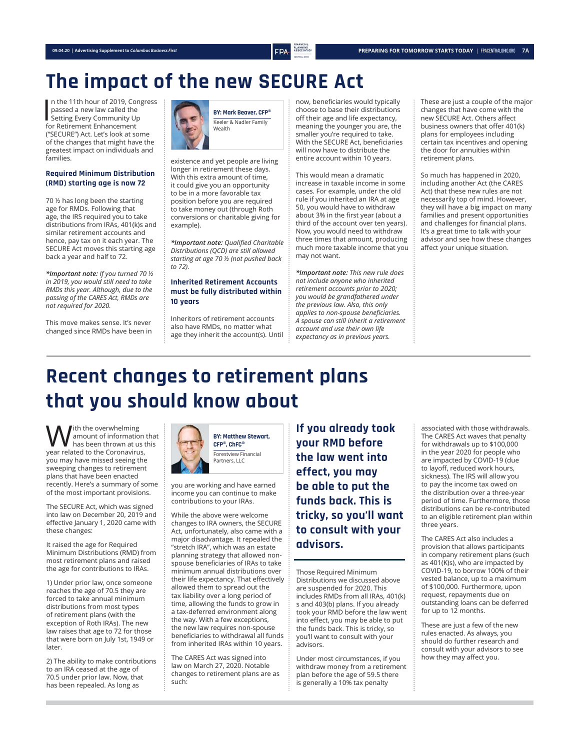## **The impact of the new SECURE Act**

n the 11th hour of 2019, Conq<br>passed a new law called the<br>Setting Every Community Up<br>for Retirement Enhancement n the 11th hour of 2019, Congress passed a new law called the for Retirement Enhancement ("SECURE") Act. Let's look at some of the changes that might have the greatest impact on individuals and families.

#### **Required Minimum Distribution (RMD) starting age is now 72**

70 ½ has long been the starting age for RMDs. Following that age, the IRS required you to take distributions from IRAs, 401(k)s and similar retirement accounts and hence, pay tax on it each year. The SECURE Act moves this starting age back a year and half to 72.

*\*Important note: If you turned 70 ½ in 2019, you would still need to take RMDs this year. Although, due to the passing of the CARES Act, RMDs are not required for 2020.* 

This move makes sense. It's never changed since RMDs have been in



existence and yet people are living longer in retirement these days. With this extra amount of time, it could give you an opportunity to be in a more favorable tax position before you are required to take money out (through Roth conversions or charitable giving for example).

*\*Important note: Qualifi ed Charitable Distributions (QCD) are still allowed starting at age 70 ½ (not pushed back to 72).*

#### **Inherited Retirement Accounts must be fully distributed within 10 years**

Inheritors of retirement accounts also have RMDs, no matter what age they inherit the account(s). Until now, beneficiaries would typically choose to base their distributions off their age and life expectancy, meaning the younger you are, the smaller you're required to take. With the SECURE Act, beneficiaries will now have to distribute the entire account within 10 years.

This would mean a dramatic increase in taxable income in some cases. For example, under the old rule if you inherited an IRA at age 50, you would have to withdraw about 3% in the first year (about a third of the account over ten years). Now, you would need to withdraw three times that amount, producing much more taxable income that you may not want.

*\*Important note: This new rule does not include anyone who inherited retirement accounts prior to 2020; you would be grandfathered under the previous law. Also, this only applies to non-spouse beneficiaries. A spouse can still inherit a retirement account and use their own life expectancy as in previous years.*

These are just a couple of the major changes that have come with the new SECURE Act. Others affect business owners that offer 401(k) plans for employees including certain tax incentives and opening the door for annuities within retirement plans.

So much has happened in 2020, including another Act (the CARES Act) that these new rules are not necessarily top of mind. However, they will have a big impact on many families and present opportunities and challenges for financial plans. It's a great time to talk with your advisor and see how these changes affect your unique situation.

## **Recent changes to retirement plans that you should know about**

**W** ith the overwhelming<br>
has been thrown at us t<br>
year related to the Coronavirus, amount of information that has been thrown at us this you may have missed seeing the sweeping changes to retirement plans that have been enacted recently. Here's a summary of some of the most important provisions.

The SECURE Act, which was signed into law on December 20, 2019 and effective January 1, 2020 came with these changes:

It raised the age for Required Minimum Distributions (RMD) from most retirement plans and raised the age for contributions to IRAs.

1) Under prior law, once someone reaches the age of 70.5 they are forced to take annual minimum distributions from most types of retirement plans (with the exception of Roth IRAs). The new law raises that age to 72 for those that were born on July 1st, 1949 or later.

2) The ability to make contributions to an IRA ceased at the age of 70.5 under prior law. Now, that has been repealed. As long as



you are working and have earned income you can continue to make contributions to your IRAs.

While the above were welcome changes to IRA owners, the SECURE Act, unfortunately, also came with a major disadvantage. It repealed the "stretch IRA", which was an estate planning strategy that allowed nonspouse beneficiaries of IRAs to take minimum annual distributions over their life expectancy. That effectively allowed them to spread out the tax liability over a long period of time, allowing the funds to grow in a tax-deferred environment along the way. With a few exceptions, the new law requires non-spouse beneficiaries to withdrawal all funds from inherited IRAs within 10 years.

The CARES Act was signed into law on March 27, 2020. Notable changes to retirement plans are as such:

**If you already took your RMD before the law went into effect, you may be able to put the funds back. This is tricky, so you'll want to consult with your advisors.**

Those Required Minimum Distributions we discussed above are suspended for 2020. This includes RMDs from all IRAs, 401(k) s and 403(b) plans. If you already took your RMD before the law went into effect, you may be able to put the funds back. This is tricky, so you'll want to consult with your advisors.

Under most circumstances, if you withdraw money from a retirement plan before the age of 59.5 there is generally a 10% tax penalty

associated with those withdrawals. The CARES Act waves that penalty for withdrawals up to \$100,000 in the year 2020 for people who are impacted by COVID-19 (due to layoff, reduced work hours, sickness). The IRS will allow you to pay the income tax owed on the distribution over a three-year period of time. Furthermore, those distributions can be re-contributed to an eligible retirement plan within three years.

The CARES Act also includes a provision that allows participants in company retirement plans (such as 401(K)s), who are impacted by COVID-19, to borrow 100% of their vested balance, up to a maximum of \$100,000. Furthermore, upon request, repayments due on outstanding loans can be deferred for up to 12 months.

These are just a few of the new rules enacted. As always, you should do further research and consult with your advisors to see how they may affect you.